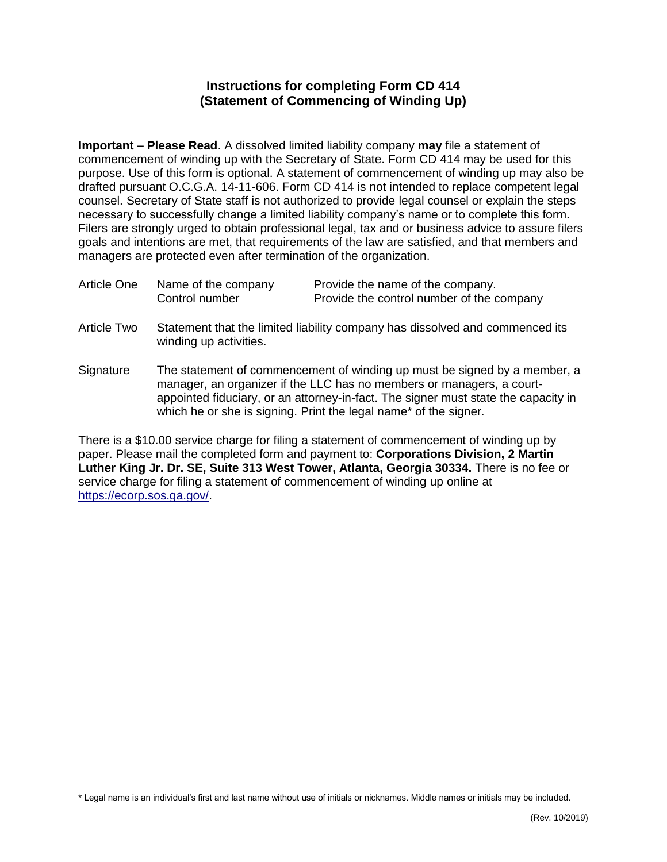## **Instructions for completing Form CD 414 (Statement of Commencing of Winding Up)**

**Important – Please Read**. A dissolved limited liability company **may** file a statement of commencement of winding up with the Secretary of State. Form CD 414 may be used for this purpose. Use of this form is optional. A statement of commencement of winding up may also be drafted pursuant O.C.G.A. 14-11-606. Form CD 414 is not intended to replace competent legal counsel. Secretary of State staff is not authorized to provide legal counsel or explain the steps necessary to successfully change a limited liability company's name or to complete this form. Filers are strongly urged to obtain professional legal, tax and or business advice to assure filers goals and intentions are met, that requirements of the law are satisfied, and that members and managers are protected even after termination of the organization.

| Article One | Name of the company | Provide the name of the company.          |
|-------------|---------------------|-------------------------------------------|
|             | Control number      | Provide the control number of the company |

- Article Two Statement that the limited liability company has dissolved and commenced its winding up activities.
- Signature The statement of commencement of winding up must be signed by a member, a manager, an organizer if the LLC has no members or managers, a courtappointed fiduciary, or an attorney-in-fact. The signer must state the capacity in which he or she is signing. Print the legal name\* of the signer.

There is a \$10.00 service charge for filing a statement of commencement of winding up by paper. Please mail the completed form and payment to: **Corporations Division, 2 Martin Luther King Jr. Dr. SE, Suite 313 West Tower, Atlanta, Georgia 30334.** There is no fee or service charge for filing a statement of commencement of winding up online at [https://ecorp.sos.ga.gov/.](https://ecorp.sos.ga.gov/)

\* Legal name is an individual's first and last name without use of initials or nicknames. Middle names or initials may be included.